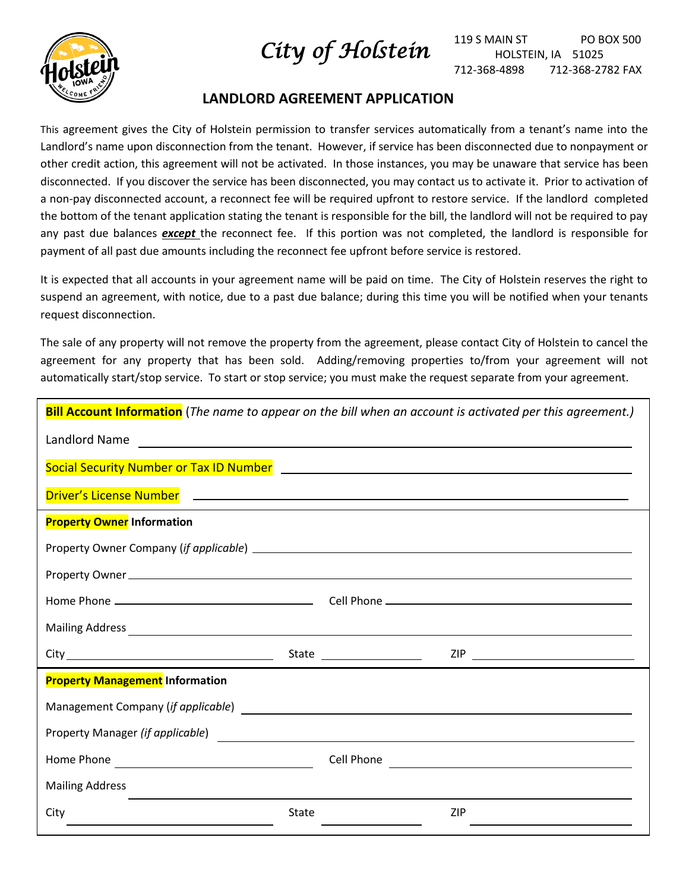



## **LANDLORD AGREEMENT APPLICATION**

This agreement gives the City of Holstein permission to transfer services automatically from a tenant's name into the Landlord's name upon disconnection from the tenant. However, if service has been disconnected due to nonpayment or other credit action, this agreement will not be activated. In those instances, you may be unaware that service has been disconnected. If you discover the service has been disconnected, you may contact us to activate it. Prior to activation of a non-pay disconnected account, a reconnect fee will be required upfront to restore service. If the landlord completed the bottom of the tenant application stating the tenant is responsible for the bill, the landlord will not be required to pay any past due balances *except* the reconnect fee. If this portion was not completed, the landlord is responsible for payment of all past due amounts including the reconnect fee upfront before service is restored.

It is expected that all accounts in your agreement name will be paid on time. The City of Holstein reserves the right to suspend an agreement, with notice, due to a past due balance; during this time you will be notified when your tenants request disconnection.

The sale of any property will not remove the property from the agreement, please contact City of Holstein to cancel the agreement for any property that has been sold. Adding/removing properties to/from your agreement will not automatically start/stop service. To start or stop service; you must make the request separate from your agreement.

| <b>Bill Account Information</b> (The name to appear on the bill when an account is activated per this agreement.)                                                                                                                    |       |                                                                                  |  |  |  |  |
|--------------------------------------------------------------------------------------------------------------------------------------------------------------------------------------------------------------------------------------|-------|----------------------------------------------------------------------------------|--|--|--|--|
| Landlord Name                                                                                                                                                                                                                        |       |                                                                                  |  |  |  |  |
| Social Security Number or Tax ID Number <b>Security Accord Property</b> 2014 12:30 AM                                                                                                                                                |       |                                                                                  |  |  |  |  |
| Driver's License Number <b>Communication</b> and the contract of the contract of the contract of the contract of the contract of the contract of the contract of the contract of the contract of the contract of the contract of th  |       |                                                                                  |  |  |  |  |
| <b>Property Owner Information</b>                                                                                                                                                                                                    |       |                                                                                  |  |  |  |  |
|                                                                                                                                                                                                                                      |       |                                                                                  |  |  |  |  |
|                                                                                                                                                                                                                                      |       |                                                                                  |  |  |  |  |
|                                                                                                                                                                                                                                      |       |                                                                                  |  |  |  |  |
|                                                                                                                                                                                                                                      |       |                                                                                  |  |  |  |  |
|                                                                                                                                                                                                                                      |       |                                                                                  |  |  |  |  |
| <b>Property Management Information</b>                                                                                                                                                                                               |       |                                                                                  |  |  |  |  |
| Management Company (if applicable) Management of the state of the state of the state of the state of the state of the state of the state of the state of the state of the state of the state of the state of the state of the        |       |                                                                                  |  |  |  |  |
| Property Manager (if applicable) <u>example and the set of the set of the set of the set of the set of the set of the set of the set of the set of the set of the set of the set of the set of the set of the set of the set of </u> |       |                                                                                  |  |  |  |  |
|                                                                                                                                                                                                                                      |       | Cell Phone                                                                       |  |  |  |  |
| <b>Mailing Address</b>                                                                                                                                                                                                               |       | ,我们也不能在这里的时候,我们也不能在这里的时候,我们也不能不能不能不能不能不能不能不能不能不能不能不能不能不能。""我们,我们也不能不能不能不能不能不能不能不 |  |  |  |  |
| City                                                                                                                                                                                                                                 | State | ZIP                                                                              |  |  |  |  |
|                                                                                                                                                                                                                                      |       |                                                                                  |  |  |  |  |